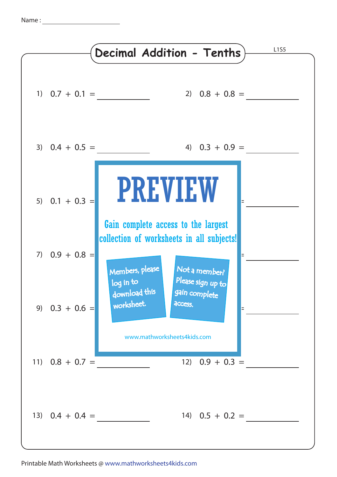